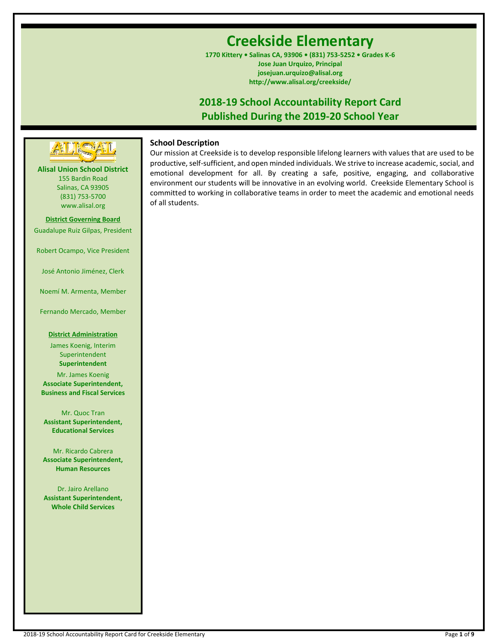# **Creekside Elementary**

**1770 Kittery • Salinas CA, 93906 • (831) 753-5252 • Grades K-6 Jose Juan Urquizo, Principal josejuan.urquizo@alisal.org http://www.alisal.org/creekside/**

## **2018-19 School Accountability Report Card Published During the 2019-20 School Year**



## **Alisal Union School District**

155 Bardin Road Salinas, CA 93905 (831) 753-5700 www.alisal.org

**District Governing Board** Guadalupe Ruiz Gilpas, President

Robert Ocampo, Vice President

José Antonio Jiménez, Clerk

Noemí M. Armenta, Member

Fernando Mercado, Member

## **District Administration**

James Koenig, Interim Superintendent **Superintendent**

Mr. James Koenig **Associate Superintendent, Business and Fiscal Services**

Mr. Quoc Tran **Assistant Superintendent, Educational Services**

Mr. Ricardo Cabrera **Associate Superintendent, Human Resources**

Dr. Jairo Arellano **Assistant Superintendent, Whole Child Services**

## **School Description**

Our mission at Creekside is to develop responsible lifelong learners with values that are used to be productive, self-sufficient, and open minded individuals. We strive to increase academic, social, and emotional development for all. By creating a safe, positive, engaging, and collaborative environment our students will be innovative in an evolving world. Creekside Elementary School is committed to working in collaborative teams in order to meet the academic and emotional needs of all students.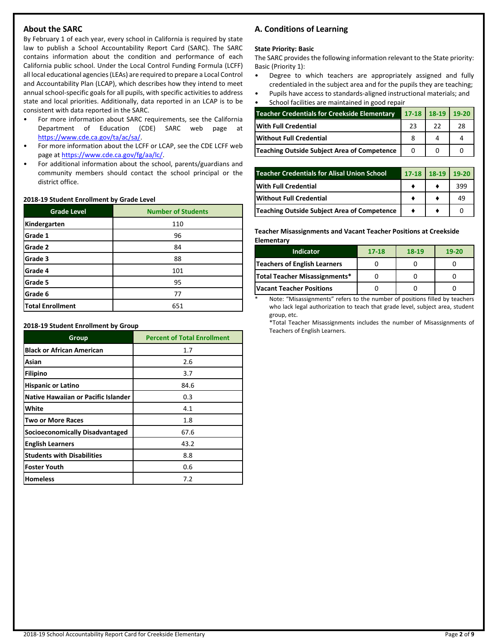## **About the SARC**

By February 1 of each year, every school in California is required by state law to publish a School Accountability Report Card (SARC). The SARC contains information about the condition and performance of each California public school. Under the Local Control Funding Formula (LCFF) all local educational agencies (LEAs) are required to prepare a Local Control and Accountability Plan (LCAP), which describes how they intend to meet annual school-specific goals for all pupils, with specific activities to address state and local priorities. Additionally, data reported in an LCAP is to be consistent with data reported in the SARC.

- For more information about SARC requirements, see the California Department of Education (CDE) SARC web page at [https://www.cde.ca.gov/ta/ac/sa/.](https://www.cde.ca.gov/ta/ac/sa/)
- For more information about the LCFF or LCAP, see the CDE LCFF web page at [https://www.cde.ca.gov/fg/aa/lc/.](https://www.cde.ca.gov/fg/aa/lc/)
- For additional information about the school, parents/guardians and community members should contact the school principal or the district office.

#### **2018-19 Student Enrollment by Grade Level**

| <b>Grade Level</b>      | <b>Number of Students</b> |
|-------------------------|---------------------------|
| Kindergarten            | 110                       |
| Grade 1                 | 96                        |
| Grade 2                 | 84                        |
| Grade 3                 | 88                        |
| Grade 4                 | 101                       |
| Grade 5                 | 95                        |
| Grade 6                 | 77                        |
| <b>Total Enrollment</b> | 651                       |

**2018-19 Student Enrollment by Group**

| Group                                      | <b>Percent of Total Enrollment</b> |
|--------------------------------------------|------------------------------------|
| <b>Black or African American</b>           | 1.7                                |
| Asian                                      | 2.6                                |
| <b>Filipino</b>                            | 3.7                                |
| <b>Hispanic or Latino</b>                  | 84.6                               |
| <b>Native Hawaiian or Pacific Islander</b> | 0.3                                |
| White                                      | 4.1                                |
| <b>Two or More Races</b>                   | 1.8                                |
| <b>Socioeconomically Disadvantaged</b>     | 67.6                               |
| <b>English Learners</b>                    | 43.2                               |
| <b>Students with Disabilities</b>          | 8.8                                |
| <b>Foster Youth</b>                        | 0.6                                |
| <b>Homeless</b>                            | 7.2                                |

## **A. Conditions of Learning**

#### **State Priority: Basic**

The SARC provides the following information relevant to the State priority: Basic (Priority 1):

- Degree to which teachers are appropriately assigned and fully credentialed in the subject area and for the pupils they are teaching;
- Pupils have access to standards-aligned instructional materials; and • School facilities are maintained in good repair

| <b>Teacher Credentials for Creekside Elementary</b> |    | 17-18 18-19 19-20 |    |  |
|-----------------------------------------------------|----|-------------------|----|--|
| <b>With Full Credential</b>                         | 23 | 22                | 28 |  |
| Without Full Credential                             |    |                   |    |  |
| Teaching Outside Subject Area of Competence         |    |                   |    |  |

| <b>Teacher Credentials for Alisal Union School</b> | $17-18$ 18-19 | $19 - 20$ |
|----------------------------------------------------|---------------|-----------|
| <b>With Full Credential</b>                        |               | 399       |
| Without Full Credential                            |               | 49        |
| Teaching Outside Subject Area of Competence        |               |           |

**Teacher Misassignments and Vacant Teacher Positions at Creekside Elementary**

| <b>Indicator</b>                    | 17-18 | 18-19 | 19-20 |
|-------------------------------------|-------|-------|-------|
| <b>Teachers of English Learners</b> |       |       |       |
| Total Teacher Misassignments*       |       |       |       |
| <b>Vacant Teacher Positions</b>     |       |       |       |

Note: "Misassignments" refers to the number of positions filled by teachers who lack legal authorization to teach that grade level, subject area, student group, etc.

\*Total Teacher Misassignments includes the number of Misassignments of Teachers of English Learners.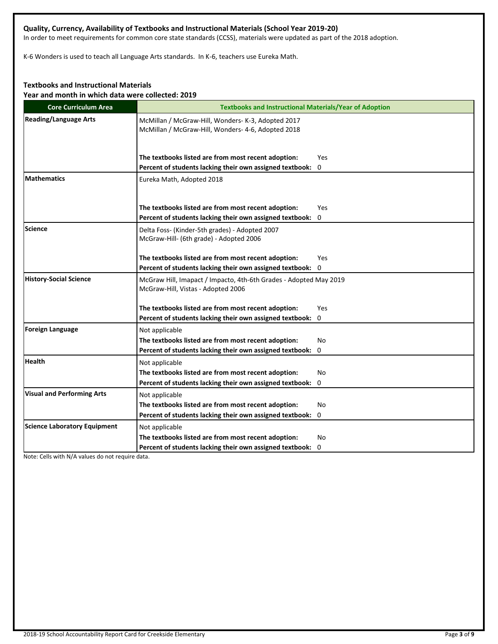## **Quality, Currency, Availability of Textbooks and Instructional Materials (School Year 2019-20)**

In order to meet requirements for common core state standards (CCSS), materials were updated as part of the 2018 adoption.

K-6 Wonders is used to teach all Language Arts standards. In K-6, teachers use Eureka Math.

## **Textbooks and Instructional Materials**

**Year and month in which data were collected: 2019**

| <b>Core Curriculum Area</b>         | <b>Textbooks and Instructional Materials/Year of Adoption</b>                                            |
|-------------------------------------|----------------------------------------------------------------------------------------------------------|
| <b>Reading/Language Arts</b>        | McMillan / McGraw-Hill, Wonders- K-3, Adopted 2017<br>McMillan / McGraw-Hill, Wonders- 4-6, Adopted 2018 |
|                                     | The textbooks listed are from most recent adoption:<br>Yes                                               |
|                                     | Percent of students lacking their own assigned textbook: 0                                               |
| <b>Mathematics</b>                  | Eureka Math, Adopted 2018                                                                                |
|                                     | The textbooks listed are from most recent adoption:<br>Yes                                               |
|                                     | Percent of students lacking their own assigned textbook:<br>0                                            |
| Science                             | Delta Foss- (Kinder-5th grades) - Adopted 2007<br>McGraw-Hill- (6th grade) - Adopted 2006                |
|                                     | The textbooks listed are from most recent adoption:<br>Yes                                               |
|                                     | Percent of students lacking their own assigned textbook: 0                                               |
| <b>History-Social Science</b>       | McGraw Hill, Imapact / Impacto, 4th-6th Grades - Adopted May 2019<br>McGraw-Hill, Vistas - Adopted 2006  |
|                                     | The textbooks listed are from most recent adoption:<br>Yes                                               |
|                                     | Percent of students lacking their own assigned textbook: 0                                               |
| Foreign Language                    | Not applicable                                                                                           |
|                                     | The textbooks listed are from most recent adoption:<br>No                                                |
|                                     | Percent of students lacking their own assigned textbook:<br>0                                            |
| <b>Health</b>                       | Not applicable                                                                                           |
|                                     | The textbooks listed are from most recent adoption:<br>No                                                |
|                                     | Percent of students lacking their own assigned textbook: 0                                               |
| <b>Visual and Performing Arts</b>   | Not applicable                                                                                           |
|                                     | The textbooks listed are from most recent adoption:<br>No                                                |
|                                     | Percent of students lacking their own assigned textbook: 0                                               |
| <b>Science Laboratory Equipment</b> | Not applicable                                                                                           |
|                                     | The textbooks listed are from most recent adoption:<br>No                                                |
|                                     | Percent of students lacking their own assigned textbook: 0                                               |

Note: Cells with N/A values do not require data.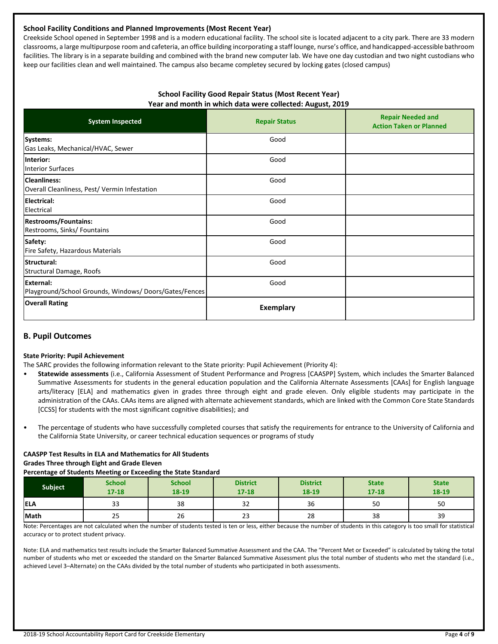#### **School Facility Conditions and Planned Improvements (Most Recent Year)**

Creekside School opened in September 1998 and is a modern educational facility. The school site is located adjacent to a city park. There are 33 modern classrooms, a large multipurpose room and cafeteria, an office building incorporating a staff lounge, nurse's office, and handicapped-accessible bathroom facilities. The library is in a separate building and combined with the brand new computer lab. We have one day custodian and two night custodians who keep our facilities clean and well maintained. The campus also became completey secured by locking gates (closed campus)

#### **School Facility Good Repair Status (Most Recent Year) Year and month in which data were collected: August, 2019**

| <b>System Inspected</b>                                                   | <b>Repair Status</b> | <b>Repair Needed and</b><br><b>Action Taken or Planned</b> |
|---------------------------------------------------------------------------|----------------------|------------------------------------------------------------|
| Systems:<br>Gas Leaks, Mechanical/HVAC, Sewer                             | Good                 |                                                            |
| Interior:<br><b>Interior Surfaces</b>                                     | Good                 |                                                            |
| <b>Cleanliness:</b><br>Overall Cleanliness, Pest/Vermin Infestation       | Good                 |                                                            |
| <b>Electrical:</b><br>Electrical                                          | Good                 |                                                            |
| <b>Restrooms/Fountains:</b><br>Restrooms, Sinks/ Fountains                | Good                 |                                                            |
| Safety:<br>Fire Safety, Hazardous Materials                               | Good                 |                                                            |
| Structural:<br>Structural Damage, Roofs                                   | Good                 |                                                            |
| <b>External:</b><br>Playground/School Grounds, Windows/Doors/Gates/Fences | Good                 |                                                            |
| <b>Overall Rating</b>                                                     | Exemplary            |                                                            |

## **B. Pupil Outcomes**

#### **State Priority: Pupil Achievement**

The SARC provides the following information relevant to the State priority: Pupil Achievement (Priority 4):

- **Statewide assessments** (i.e., California Assessment of Student Performance and Progress [CAASPP] System, which includes the Smarter Balanced Summative Assessments for students in the general education population and the California Alternate Assessments [CAAs] for English language arts/literacy [ELA] and mathematics given in grades three through eight and grade eleven. Only eligible students may participate in the administration of the CAAs. CAAs items are aligned with alternate achievement standards, which are linked with the Common Core State Standards [CCSS] for students with the most significant cognitive disabilities); and
- The percentage of students who have successfully completed courses that satisfy the requirements for entrance to the University of California and the California State University, or career technical education sequences or programs of study

#### **CAASPP Test Results in ELA and Mathematics for All Students**

**Grades Three through Eight and Grade Eleven**

#### **Percentage of Students Meeting or Exceeding the State Standard**

| <b>Subject</b> | <b>School</b><br>$17 - 18$ | <b>School</b><br>18-19 | <b>District</b><br>$17 - 18$ | <b>District</b><br>18-19 | <b>State</b><br>$17 - 18$ | <b>State</b><br>18-19 |
|----------------|----------------------------|------------------------|------------------------------|--------------------------|---------------------------|-----------------------|
| <b>IELA</b>    | $\mathbf{\hat{z}}$<br>33   | 38                     | $\sim$<br>32                 | 36                       | 50                        | 50                    |
| Math           | 25                         | 26                     | $\sim$<br>ںے                 | 28                       | 38                        | 39                    |

Note: Percentages are not calculated when the number of students tested is ten or less, either because the number of students in this category is too small for statistical accuracy or to protect student privacy.

Note: ELA and mathematics test results include the Smarter Balanced Summative Assessment and the CAA. The "Percent Met or Exceeded" is calculated by taking the total number of students who met or exceeded the standard on the Smarter Balanced Summative Assessment plus the total number of students who met the standard (i.e., achieved Level 3–Alternate) on the CAAs divided by the total number of students who participated in both assessments.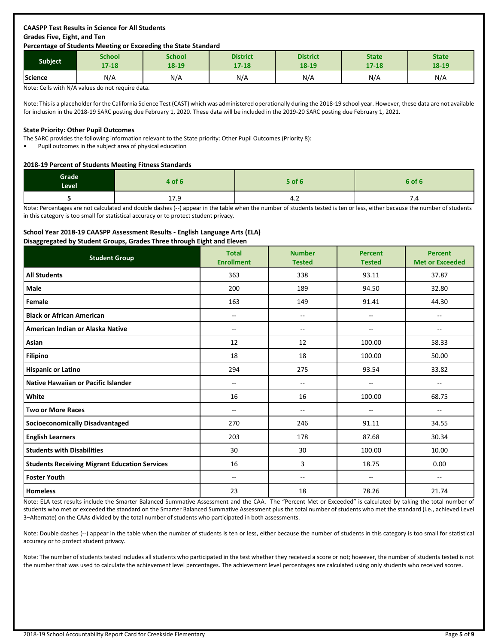## **CAASPP Test Results in Science for All Students Grades Five, Eight, and Ten**

#### **Percentage of Students Meeting or Exceeding the State Standard**

| <b>Subject</b> | School    | School | <b>District</b> | <b>District</b> | <b>State</b> | <b>State</b> |
|----------------|-----------|--------|-----------------|-----------------|--------------|--------------|
|                | $17 - 18$ | 18-19  | $17 - 18$       | 18-19           | $17 - 18$    | 18-19        |
| Science        | N/A       | N/A    | N/A             | N/A             | N/A          | N/A          |

Note: Cells with N/A values do not require data.

Note: This is a placeholder for the California Science Test (CAST) which was administered operationally during the 2018-19 school year. However, these data are not available for inclusion in the 2018-19 SARC posting due February 1, 2020. These data will be included in the 2019-20 SARC posting due February 1, 2021.

#### **State Priority: Other Pupil Outcomes**

The SARC provides the following information relevant to the State priority: Other Pupil Outcomes (Priority 8):

• Pupil outcomes in the subject area of physical education

#### **2018-19 Percent of Students Meeting Fitness Standards**

| Grade<br>Level | 4 of 6                | 5 of 6 | 6 of 6 |
|----------------|-----------------------|--------|--------|
|                | $\sim$ $\sim$<br>11.5 | 4.Z    | 7.4    |

Note: Percentages are not calculated and double dashes (--) appear in the table when the number of students tested is ten or less, either because the number of students in this category is too small for statistical accuracy or to protect student privacy.

#### **School Year 2018-19 CAASPP Assessment Results - English Language Arts (ELA)**

**Disaggregated by Student Groups, Grades Three through Eight and Eleven**

| .<br>.<br>$  -$<br><b>Student Group</b>              | <b>Total</b><br><b>Enrollment</b> | <b>Number</b><br><b>Tested</b> | <b>Percent</b><br><b>Tested</b> | <b>Percent</b><br><b>Met or Exceeded</b> |
|------------------------------------------------------|-----------------------------------|--------------------------------|---------------------------------|------------------------------------------|
| <b>All Students</b>                                  | 363                               | 338                            | 93.11                           | 37.87                                    |
| Male                                                 | 200                               | 189                            | 94.50                           | 32.80                                    |
| Female                                               | 163                               | 149                            | 91.41                           | 44.30                                    |
| <b>Black or African American</b>                     | --                                | $\overline{\phantom{a}}$       | --                              | $\sim$                                   |
| American Indian or Alaska Native                     | --                                | $\overline{\phantom{m}}$       | --                              | $\sim$                                   |
| Asian                                                | 12                                | 12                             | 100.00                          | 58.33                                    |
| <b>Filipino</b>                                      | 18                                | 18                             | 100.00                          | 50.00                                    |
| <b>Hispanic or Latino</b>                            | 294                               | 275                            | 93.54                           | 33.82                                    |
| <b>Native Hawaiian or Pacific Islander</b>           | $-$                               | $\overline{a}$                 | $-$                             | $\overline{\phantom{a}}$                 |
| White                                                | 16                                | 16                             | 100.00                          | 68.75                                    |
| <b>Two or More Races</b>                             | --                                | $\overline{\phantom{m}}$       | $\overline{\phantom{m}}$        | $\overline{\phantom{m}}$                 |
| <b>Socioeconomically Disadvantaged</b>               | 270                               | 246                            | 91.11                           | 34.55                                    |
| <b>English Learners</b>                              | 203                               | 178                            | 87.68                           | 30.34                                    |
| <b>Students with Disabilities</b>                    | 30                                | 30                             | 100.00                          | 10.00                                    |
| <b>Students Receiving Migrant Education Services</b> | 16                                | 3                              | 18.75                           | 0.00                                     |
| <b>Foster Youth</b>                                  | --                                | $\overline{\phantom{a}}$       | $-$                             | $\sim$                                   |
| <b>Homeless</b>                                      | 23                                | 18                             | 78.26                           | 21.74                                    |

Note: ELA test results include the Smarter Balanced Summative Assessment and the CAA. The "Percent Met or Exceeded" is calculated by taking the total number of students who met or exceeded the standard on the Smarter Balanced Summative Assessment plus the total number of students who met the standard (i.e., achieved Level 3–Alternate) on the CAAs divided by the total number of students who participated in both assessments.

Note: Double dashes (--) appear in the table when the number of students is ten or less, either because the number of students in this category is too small for statistical accuracy or to protect student privacy.

Note: The number of students tested includes all students who participated in the test whether they received a score or not; however, the number of students tested is not the number that was used to calculate the achievement level percentages. The achievement level percentages are calculated using only students who received scores.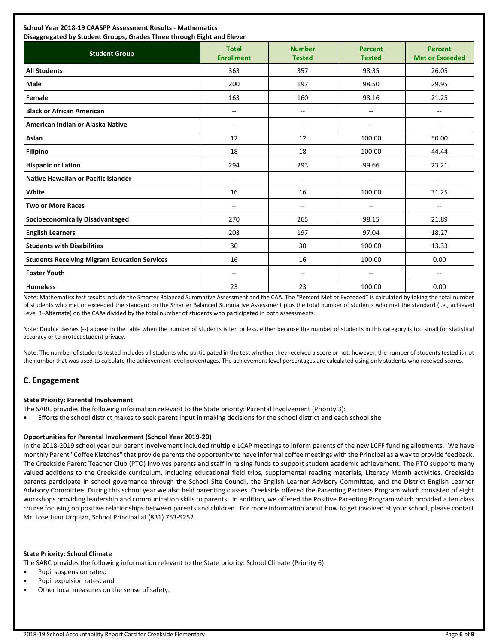| School Year 2018-19 CAASPP Assessment Results - Mathematics<br>Disaggregated by Student Groups, Grades Three through Eight and Eleven |                                   |                                |                                 |                                          |  |
|---------------------------------------------------------------------------------------------------------------------------------------|-----------------------------------|--------------------------------|---------------------------------|------------------------------------------|--|
| <b>Student Group</b>                                                                                                                  | <b>Total</b><br><b>Enrollment</b> | <b>Number</b><br><b>Tested</b> | <b>Percent</b><br><b>Tested</b> | <b>Percent</b><br><b>Met or Exceeded</b> |  |
| <b>All Students</b>                                                                                                                   | 363                               | 357                            | 98.35                           | 26.05                                    |  |
| Male                                                                                                                                  | 200                               | 197                            | 98.50                           | 29.95                                    |  |
| Female                                                                                                                                | 163                               | 160                            | 98.16                           | 21.25                                    |  |
| <b>Black or African American</b>                                                                                                      | $-$                               | --                             | $-$                             | --                                       |  |
| American Indian or Alaska Native                                                                                                      | $\overline{\phantom{a}}$          | --                             | $- -$                           | $\overline{\phantom{a}}$                 |  |
| Asian                                                                                                                                 | 12                                | 12                             | 100.00                          | 50.00                                    |  |
| <b>Filipino</b>                                                                                                                       | 18                                | 18                             | 100.00                          | 44.44                                    |  |
| <b>Hispanic or Latino</b>                                                                                                             | 294                               | 293                            | 99.66                           | 23.21                                    |  |
| <b>Native Hawaiian or Pacific Islander</b>                                                                                            | --                                | $- -$                          | --                              | --                                       |  |
| White                                                                                                                                 | 16                                | 16                             | 100.00                          | 31.25                                    |  |
| <b>Two or More Races</b>                                                                                                              | $\overline{\phantom{a}}$          | --                             | --                              | $\overline{\phantom{a}}$                 |  |
| <b>Socioeconomically Disadvantaged</b>                                                                                                | 270                               | 265                            | 98.15                           | 21.89                                    |  |
| <b>English Learners</b>                                                                                                               | 203                               | 197                            | 97.04                           | 18.27                                    |  |
| <b>Students with Disabilities</b>                                                                                                     | 30                                | 30                             | 100.00                          | 13.33                                    |  |
| <b>Students Receiving Migrant Education Services</b>                                                                                  | 16                                | 16                             | 100.00                          | 0.00                                     |  |
| <b>Foster Youth</b>                                                                                                                   | $\overline{\phantom{a}}$          | --                             | --                              | $\overline{\phantom{a}}$                 |  |
| <b>Homeless</b>                                                                                                                       | 23                                | 23                             | 100.00                          | 0.00                                     |  |

Note: Mathematics test results include the Smarter Balanced Summative Assessment and the CAA. The "Percent Met or Exceeded" is calculated by taking the total number of students who met or exceeded the standard on the Smarter Balanced Summative Assessment plus the total number of students who met the standard (i.e., achieved Level 3–Alternate) on the CAAs divided by the total number of students who participated in both assessments.

Note: Double dashes (--) appear in the table when the number of students is ten or less, either because the number of students in this category is too small for statistical accuracy or to protect student privacy.

Note: The number of students tested includes all students who participated in the test whether they received a score or not; however, the number of students tested is not the number that was used to calculate the achievement level percentages. The achievement level percentages are calculated using only students who received scores.

## **C. Engagement**

#### **State Priority: Parental Involvement**

The SARC provides the following information relevant to the State priority: Parental Involvement (Priority 3):

• Efforts the school district makes to seek parent input in making decisions for the school district and each school site

#### **Opportunities for Parental Involvement (School Year 2019-20)**

In the 2018-2019 school year our parent involvement included multiple LCAP meetings to inform parents of the new LCFF funding allotments. We have monthly Parent "Coffee Klatches" that provide parents the opportunity to have informal coffee meetings with the Principal as a way to provide feedback. The Creekside Parent Teacher Club (PTO) involves parents and staff in raising funds to support student academic achievement. The PTO supports many valued additions to the Creekside curriculum, including educational field trips, supplemental reading materials, Literacy Month activities. Creekside parents participate in school governance through the School Site Council, the English Learner Advisory Committee, and the District English Learner Advisory Committee. During this school year we also held parenting classes. Creekside offered the Parenting Partners Program which consisted of eight workshops providing leadership and communication skills to parents. In addition, we offered the Positive Parenting Program which provided a ten class course focusing on positive relationships between parents and children. For more information about how to get involved at your school, please contact Mr. Jose Juan Urquizo, School Principal at (831) 753-5252.

#### **State Priority: School Climate**

The SARC provides the following information relevant to the State priority: School Climate (Priority 6):

- Pupil suspension rates;
- Pupil expulsion rates; and
- Other local measures on the sense of safety.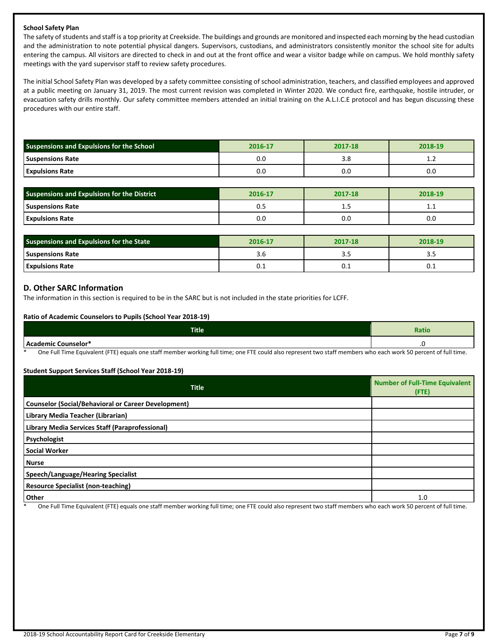#### **School Safety Plan**

The safety of students and staff is a top priority at Creekside. The buildings and grounds are monitored and inspected each morning by the head custodian and the administration to note potential physical dangers. Supervisors, custodians, and administrators consistently monitor the school site for adults entering the campus. All visitors are directed to check in and out at the front office and wear a visitor badge while on campus. We hold monthly safety meetings with the yard supervisor staff to review safety procedures.

The initial School Safety Plan was developed by a safety committee consisting of school administration, teachers, and classified employees and approved at a public meeting on January 31, 2019. The most current revision was completed in Winter 2020. We conduct fire, earthquake, hostile intruder, or evacuation safety drills monthly. Our safety committee members attended an initial training on the A.L.I.C.E protocol and has begun discussing these procedures with our entire staff.

| <b>Suspensions and Expulsions for the School</b> | 2016-17 | 2017-18 | 2018-19 |  |
|--------------------------------------------------|---------|---------|---------|--|
| <b>Suspensions Rate</b>                          | U.U     | 3.8     | <b></b> |  |
| <b>Expulsions Rate</b>                           | 0.C     | 0.0     | 0.0     |  |

| <b>Suspensions and Expulsions for the District</b> | 2016-17 | 2017-18 | 2018-19  |  |
|----------------------------------------------------|---------|---------|----------|--|
| <b>Suspensions Rate</b>                            | U.J     | --      | <b>.</b> |  |
| <b>Expulsions Rate</b>                             | 0.C     | 0.0     | 0.0      |  |

| <b>Suspensions and Expulsions for the State</b> | 2016-17 | 2017-18 | 2018-19 |  |
|-------------------------------------------------|---------|---------|---------|--|
| Suspensions Rate                                | J.U     |         | --      |  |
| <b>Expulsions Rate</b>                          | U.L     | U.L     | 0.1     |  |

#### **D. Other SARC Information**

The information in this section is required to be in the SARC but is not included in the state priorities for LCFF.

#### **Ratio of Academic Counselors to Pupils (School Year 2018-19)**

| Title                                                                                                           | <b>Ratio</b>                        |
|-----------------------------------------------------------------------------------------------------------------|-------------------------------------|
| here<br>demic Counselor*<br>--                                                                                  | ں.                                  |
| $-$<br>$\sim$ $\sim$ $\sim$ $\sim$<br>.<br>$   -$<br>$\sim$ $\sim$<br>___<br>$\cdots$<br>$- - -$<br>.<br>$\sim$ | $\sim$ $\sim$ $\sim$ $\sim$<br>$ -$ |

One Full Time Equivalent (FTE) equals one staff member working full time; one FTE could also represent two staff members who each work 50 percent of full time.

#### **Student Support Services Staff (School Year 2018-19)**

| <b>Title</b>                                               | <b>Number of Full-Time Equivalent</b><br>$($ FTE $)$ |
|------------------------------------------------------------|------------------------------------------------------|
| <b>Counselor (Social/Behavioral or Career Development)</b> |                                                      |
| Library Media Teacher (Librarian)                          |                                                      |
| Library Media Services Staff (Paraprofessional)            |                                                      |
| Psychologist                                               |                                                      |
| <b>Social Worker</b>                                       |                                                      |
| <b>Nurse</b>                                               |                                                      |
| Speech/Language/Hearing Specialist                         |                                                      |
| <b>Resource Specialist (non-teaching)</b>                  |                                                      |
| <b>Other</b>                                               | 1.0                                                  |

One Full Time Equivalent (FTE) equals one staff member working full time; one FTE could also represent two staff members who each work 50 percent of full time.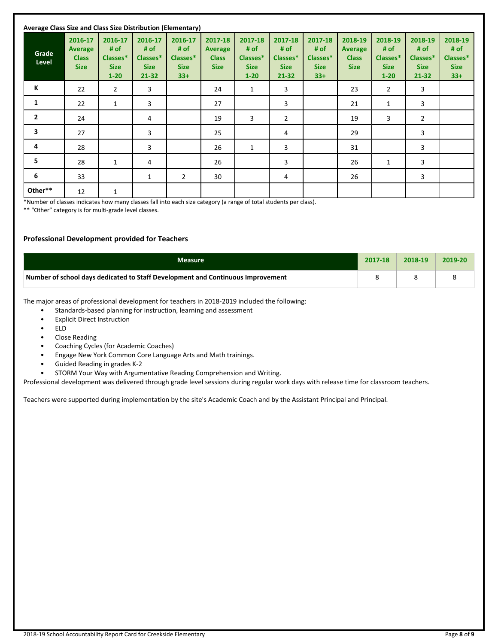| Average Class Size and Class Size Distribution (Elementary) |                                                   |                                                        |                                                         |                                                     |                                                          |                                                        |                                                         |                                                     |                                                          |                                                        |                                                         |                                                     |
|-------------------------------------------------------------|---------------------------------------------------|--------------------------------------------------------|---------------------------------------------------------|-----------------------------------------------------|----------------------------------------------------------|--------------------------------------------------------|---------------------------------------------------------|-----------------------------------------------------|----------------------------------------------------------|--------------------------------------------------------|---------------------------------------------------------|-----------------------------------------------------|
| Grade<br>Level                                              | 2016-17<br>Average<br><b>Class</b><br><b>Size</b> | 2016-17<br># of<br>Classes*<br><b>Size</b><br>$1 - 20$ | 2016-17<br># of<br>Classes*<br><b>Size</b><br>$21 - 32$ | 2016-17<br># of<br>Classes*<br><b>Size</b><br>$33+$ | 2017-18<br><b>Average</b><br><b>Class</b><br><b>Size</b> | 2017-18<br># of<br>Classes*<br><b>Size</b><br>$1 - 20$ | 2017-18<br># of<br>Classes*<br><b>Size</b><br>$21 - 32$ | 2017-18<br># of<br>Classes*<br><b>Size</b><br>$33+$ | 2018-19<br><b>Average</b><br><b>Class</b><br><b>Size</b> | 2018-19<br># of<br>Classes*<br><b>Size</b><br>$1 - 20$ | 2018-19<br># of<br>Classes*<br><b>Size</b><br>$21 - 32$ | 2018-19<br># of<br>Classes*<br><b>Size</b><br>$33+$ |
| К                                                           | 22                                                | 2                                                      | 3                                                       |                                                     | 24                                                       | $\mathbf{1}$                                           | 3                                                       |                                                     | 23                                                       | $\overline{2}$                                         | 3                                                       |                                                     |
| 1                                                           | 22                                                | 1                                                      | 3                                                       |                                                     | 27                                                       |                                                        | 3                                                       |                                                     | 21                                                       | $\mathbf{1}$                                           | 3                                                       |                                                     |
| $\mathbf{2}$                                                | 24                                                |                                                        | 4                                                       |                                                     | 19                                                       | 3                                                      | $\overline{2}$                                          |                                                     | 19                                                       | 3                                                      | $\overline{2}$                                          |                                                     |
| 3                                                           | 27                                                |                                                        | 3                                                       |                                                     | 25                                                       |                                                        | 4                                                       |                                                     | 29                                                       |                                                        | 3                                                       |                                                     |
| 4                                                           | 28                                                |                                                        | 3                                                       |                                                     | 26                                                       | $\mathbf{1}$                                           | 3                                                       |                                                     | 31                                                       |                                                        | 3                                                       |                                                     |
| 5                                                           | 28                                                | $\mathbf{1}$                                           | 4                                                       |                                                     | 26                                                       |                                                        | 3                                                       |                                                     | 26                                                       | 1                                                      | 3                                                       |                                                     |
| 6                                                           | 33                                                |                                                        | $\mathbf{1}$                                            | $\overline{2}$                                      | 30                                                       |                                                        | 4                                                       |                                                     | 26                                                       |                                                        | 3                                                       |                                                     |
| Other**                                                     | 12                                                | 1                                                      |                                                         |                                                     |                                                          |                                                        |                                                         |                                                     |                                                          |                                                        |                                                         |                                                     |

\*Number of classes indicates how many classes fall into each size category (a range of total students per class).

\*\* "Other" category is for multi-grade level classes.

#### **Professional Development provided for Teachers**

| <b>Measure</b>                                                                  | 2017-18 | 2018-19 | 2019-20 |
|---------------------------------------------------------------------------------|---------|---------|---------|
| Number of school days dedicated to Staff Development and Continuous Improvement |         |         |         |

The major areas of professional development for teachers in 2018-2019 included the following:

- Standards-based planning for instruction, learning and assessment
- **Explicit Direct Instruction**
- ELD
- Close Reading
- Coaching Cycles (for Academic Coaches)
- Engage New York Common Core Language Arts and Math trainings.
- Guided Reading in grades K-2
- STORM Your Way with Argumentative Reading Comprehension and Writing.

Professional development was delivered through grade level sessions during regular work days with release time for classroom teachers.

Teachers were supported during implementation by the site's Academic Coach and by the Assistant Principal and Principal.